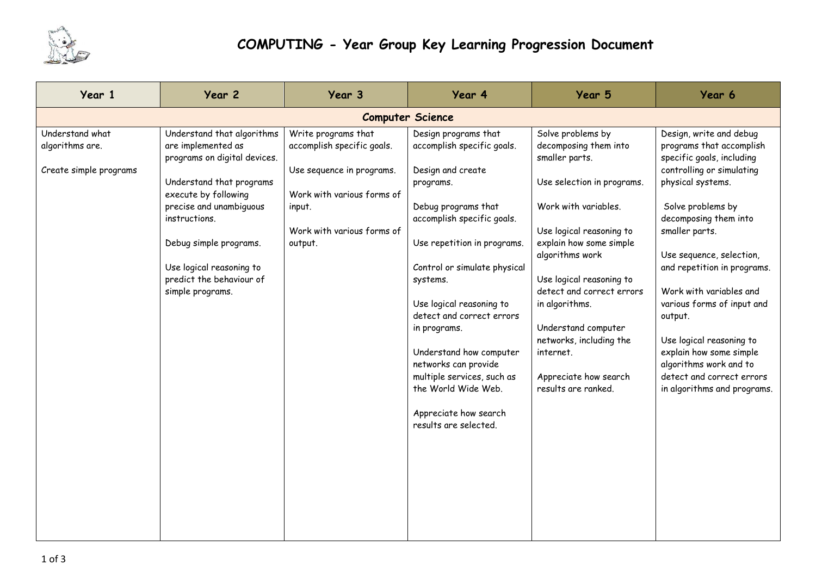

| Year 1                                                       | Year 2                                                                                                                                                                                                                                                                                 | Year 3                                                                                                                                                          | Year 4                                                                                                                                                                                                                                                                                                                                                                                                                                                  | Year 5                                                                                                                                                                                                                                                                                                                                                                                 | Year 6                                                                                                                                                                                                                                                                                                                                                                                                                                                                         |  |  |  |  |
|--------------------------------------------------------------|----------------------------------------------------------------------------------------------------------------------------------------------------------------------------------------------------------------------------------------------------------------------------------------|-----------------------------------------------------------------------------------------------------------------------------------------------------------------|---------------------------------------------------------------------------------------------------------------------------------------------------------------------------------------------------------------------------------------------------------------------------------------------------------------------------------------------------------------------------------------------------------------------------------------------------------|----------------------------------------------------------------------------------------------------------------------------------------------------------------------------------------------------------------------------------------------------------------------------------------------------------------------------------------------------------------------------------------|--------------------------------------------------------------------------------------------------------------------------------------------------------------------------------------------------------------------------------------------------------------------------------------------------------------------------------------------------------------------------------------------------------------------------------------------------------------------------------|--|--|--|--|
| <b>Computer Science</b>                                      |                                                                                                                                                                                                                                                                                        |                                                                                                                                                                 |                                                                                                                                                                                                                                                                                                                                                                                                                                                         |                                                                                                                                                                                                                                                                                                                                                                                        |                                                                                                                                                                                                                                                                                                                                                                                                                                                                                |  |  |  |  |
| Understand what<br>algorithms are.<br>Create simple programs | Understand that algorithms<br>are implemented as<br>programs on digital devices.<br>Understand that programs<br>execute by following<br>precise and unambiguous<br>instructions.<br>Debug simple programs.<br>Use logical reasoning to<br>predict the behaviour of<br>simple programs. | Write programs that<br>accomplish specific goals.<br>Use sequence in programs.<br>Work with various forms of<br>input.<br>Work with various forms of<br>output. | Design programs that<br>accomplish specific goals.<br>Design and create<br>programs.<br>Debug programs that<br>accomplish specific goals.<br>Use repetition in programs.<br>Control or simulate physical<br>systems.<br>Use logical reasoning to<br>detect and correct errors<br>in programs.<br>Understand how computer<br>networks can provide<br>multiple services, such as<br>the World Wide Web.<br>Appreciate how search<br>results are selected. | Solve problems by<br>decomposing them into<br>smaller parts.<br>Use selection in programs.<br>Work with variables.<br>Use logical reasoning to<br>explain how some simple<br>algorithms work<br>Use logical reasoning to<br>detect and correct errors<br>in algorithms.<br>Understand computer<br>networks, including the<br>internet.<br>Appreciate how search<br>results are ranked. | Design, write and debug<br>programs that accomplish<br>specific goals, including<br>controlling or simulating<br>physical systems.<br>Solve problems by<br>decomposing them into<br>smaller parts.<br>Use sequence, selection,<br>and repetition in programs.<br>Work with variables and<br>various forms of input and<br>output.<br>Use logical reasoning to<br>explain how some simple<br>algorithms work and to<br>detect and correct errors<br>in algorithms and programs. |  |  |  |  |
|                                                              |                                                                                                                                                                                                                                                                                        |                                                                                                                                                                 |                                                                                                                                                                                                                                                                                                                                                                                                                                                         |                                                                                                                                                                                                                                                                                                                                                                                        |                                                                                                                                                                                                                                                                                                                                                                                                                                                                                |  |  |  |  |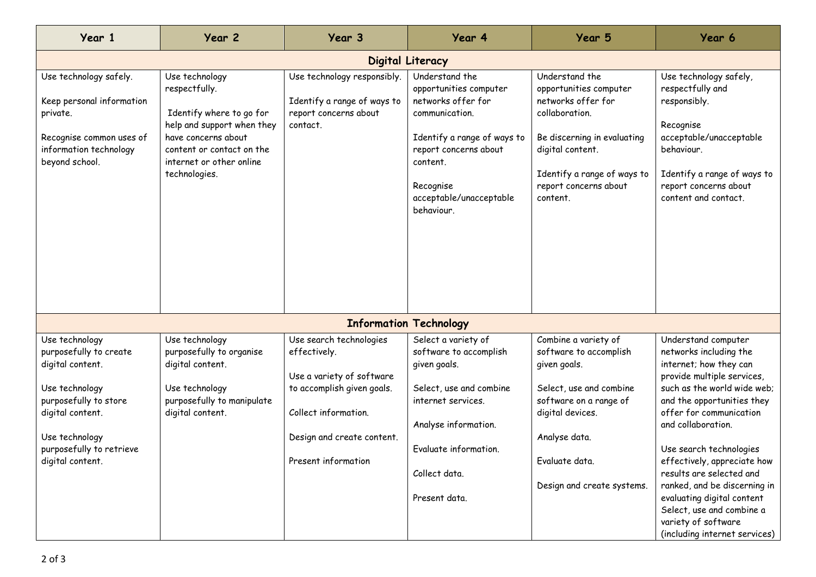| Year 1                                                                                                                                                                                        | Year 2                                                                                                                                                                                     | Year <sub>3</sub>                                                                                                                                                               | Year 4                                                                                                                                                                                                     | Year 5                                                                                                                                                                                                   | Year 6                                                                                                                                                                                                                                                                                                                                                                                                                                                       |  |  |  |
|-----------------------------------------------------------------------------------------------------------------------------------------------------------------------------------------------|--------------------------------------------------------------------------------------------------------------------------------------------------------------------------------------------|---------------------------------------------------------------------------------------------------------------------------------------------------------------------------------|------------------------------------------------------------------------------------------------------------------------------------------------------------------------------------------------------------|----------------------------------------------------------------------------------------------------------------------------------------------------------------------------------------------------------|--------------------------------------------------------------------------------------------------------------------------------------------------------------------------------------------------------------------------------------------------------------------------------------------------------------------------------------------------------------------------------------------------------------------------------------------------------------|--|--|--|
| Digital Literacy                                                                                                                                                                              |                                                                                                                                                                                            |                                                                                                                                                                                 |                                                                                                                                                                                                            |                                                                                                                                                                                                          |                                                                                                                                                                                                                                                                                                                                                                                                                                                              |  |  |  |
| Use technology safely.<br>Keep personal information<br>private.<br>Recognise common uses of<br>information technology<br>beyond school.                                                       | Use technology<br>respectfully.<br>Identify where to go for<br>help and support when they<br>have concerns about<br>content or contact on the<br>internet or other online<br>technologies. | Use technology responsibly.<br>Identify a range of ways to<br>report concerns about<br>contact.                                                                                 | Understand the<br>opportunities computer<br>networks offer for<br>communication.<br>Identify a range of ways to<br>report concerns about<br>content.<br>Recognise<br>acceptable/unacceptable<br>behaviour. | Understand the<br>opportunities computer<br>networks offer for<br>collaboration.<br>Be discerning in evaluating<br>digital content.<br>Identify a range of ways to<br>report concerns about<br>content.  | Use technology safely,<br>respectfully and<br>responsibly.<br>Recognise<br>acceptable/unacceptable<br>behaviour.<br>Identify a range of ways to<br>report concerns about<br>content and contact.                                                                                                                                                                                                                                                             |  |  |  |
|                                                                                                                                                                                               |                                                                                                                                                                                            |                                                                                                                                                                                 | <b>Information Technology</b>                                                                                                                                                                              |                                                                                                                                                                                                          |                                                                                                                                                                                                                                                                                                                                                                                                                                                              |  |  |  |
| Use technology<br>purposefully to create<br>digital content.<br>Use technology<br>purposefully to store<br>digital content.<br>Use technology<br>purposefully to retrieve<br>digital content. | Use technology<br>purposefully to organise<br>digital content.<br>Use technology<br>purposefully to manipulate<br>digital content.                                                         | Use search technologies<br>effectively.<br>Use a variety of software<br>to accomplish given goals.<br>Collect information.<br>Design and create content.<br>Present information | Select a variety of<br>software to accomplish<br>given goals.<br>Select, use and combine<br>internet services.<br>Analyse information.<br>Evaluate information.<br>Collect data.<br>Present data.          | Combine a variety of<br>software to accomplish<br>given goals.<br>Select, use and combine<br>software on a range of<br>digital devices.<br>Analyse data.<br>Evaluate data.<br>Design and create systems. | Understand computer<br>networks including the<br>internet; how they can<br>provide multiple services,<br>such as the world wide web;<br>and the opportunities they<br>offer for communication<br>and collaboration.<br>Use search technologies<br>effectively, appreciate how<br>results are selected and<br>ranked, and be discerning in<br>evaluating digital content<br>Select, use and combine a<br>variety of software<br>(including internet services) |  |  |  |